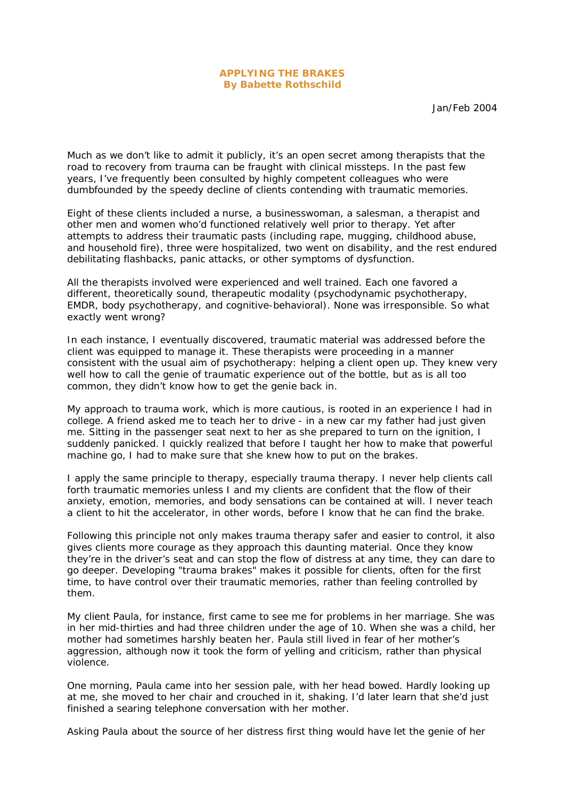## **APPLYING THE BRAKES By Babette Rothschild**

Jan/Feb 2004

Much as we don't like to admit it publicly, it's an open secret among therapists that the road to recovery from trauma can be fraught with clinical missteps. In the past few years, I've frequently been consulted by highly competent colleagues who were dumbfounded by the speedy decline of clients contending with traumatic memories.

Eight of these clients included a nurse, a businesswoman, a salesman, a therapist and other men and women who'd functioned relatively well prior to therapy. Yet after attempts to address their traumatic pasts (including rape, mugging, childhood abuse, and household fire), three were hospitalized, two went on disability, and the rest endured debilitating flashbacks, panic attacks, or other symptoms of dysfunction.

All the therapists involved were experienced and well trained. Each one favored a different, theoretically sound, therapeutic modality (psychodynamic psychotherapy, EMDR, body psychotherapy, and cognitive-behavioral). None was irresponsible. So what exactly went wrong?

In each instance, I eventually discovered, traumatic material was addressed before the client was equipped to manage it. These therapists were proceeding in a manner consistent with the usual aim of psychotherapy: helping a client open up. They knew very well how to call the genie of traumatic experience out of the bottle, but as is all too common, they didn't know how to get the genie back in.

My approach to trauma work, which is more cautious, is rooted in an experience I had in college. A friend asked me to teach her to drive - in a new car my father had just given me. Sitting in the passenger seat next to her as she prepared to turn on the ignition, I suddenly panicked. I quickly realized that before I taught her how to make that powerful machine go, I had to make sure that she knew how to put on the brakes.

I apply the same principle to therapy, especially trauma therapy. I never help clients call forth traumatic memories unless I and my clients are confident that the flow of their anxiety, emotion, memories, and body sensations can be contained at will. I never teach a client to hit the accelerator, in other words, before I know that he can find the brake.

Following this principle not only makes trauma therapy safer and easier to control, it also gives clients more courage as they approach this daunting material. Once they know they're in the driver's seat and can stop the flow of distress at any time, they can dare to go deeper. Developing "trauma brakes" makes it possible for clients, often for the first time, to have control over their traumatic memories, rather than feeling controlled by them.

My client Paula, for instance, first came to see me for problems in her marriage. She was in her mid-thirties and had three children under the age of 10. When she was a child, her mother had sometimes harshly beaten her. Paula still lived in fear of her mother's aggression, although now it took the form of yelling and criticism, rather than physical violence.

One morning, Paula came into her session pale, with her head bowed. Hardly looking up at me, she moved to her chair and crouched in it, shaking. I'd later learn that she'd just finished a searing telephone conversation with her mother.

Asking Paula about the source of her distress first thing would have let the genie of her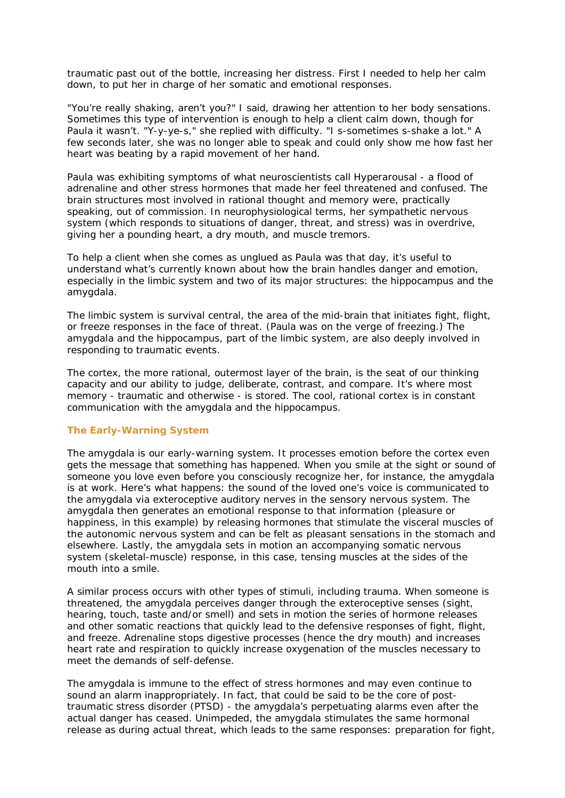traumatic past out of the bottle, increasing her distress. First I needed to help her calm down, to put her in charge of her somatic and emotional responses.

"You're really shaking, aren't you?" I said, drawing her attention to her body sensations. Sometimes this type of intervention is enough to help a client calm down, though for Paula it wasn't. "Y-y-ye-s," she replied with difficulty. "I s-sometimes s-shake a lot." A few seconds later, she was no longer able to speak and could only show me how fast her heart was beating by a rapid movement of her hand.

Paula was exhibiting symptoms of what neuroscientists call Hyperarousal - a flood of adrenaline and other stress hormones that made her feel threatened and confused. The brain structures most involved in rational thought and memory were, practically speaking, out of commission. In neurophysiological terms, her sympathetic nervous system (which responds to situations of danger, threat, and stress) was in overdrive, giving her a pounding heart, a dry mouth, and muscle tremors.

To help a client when she comes as unglued as Paula was that day, it's useful to understand what's currently known about how the brain handles danger and emotion, especially in the limbic system and two of its major structures: the hippocampus and the amygdala.

The limbic system is survival central, the area of the mid-brain that initiates fight, flight, or freeze responses in the face of threat. (Paula was on the verge of freezing.) The amygdala and the hippocampus, part of the limbic system, are also deeply involved in responding to traumatic events.

The cortex, the more rational, outermost layer of the brain, is the seat of our thinking capacity and our ability to judge, deliberate, contrast, and compare. It's where most memory - traumatic and otherwise - is stored. The cool, rational cortex is in constant communication with the amygdala and the hippocampus.

# **The Early-Warning System**

The amygdala is our early-warning system. It processes emotion before the cortex even gets the message that something has happened. When you smile at the sight or sound of someone you love even before you consciously recognize her, for instance, the amygdala is at work. Here's what happens: the sound of the loved one's voice is communicated to the amygdala via exteroceptive auditory nerves in the sensory nervous system. The amygdala then generates an emotional response to that information (pleasure or happiness, in this example) by releasing hormones that stimulate the visceral muscles of the autonomic nervous system and can be felt as pleasant sensations in the stomach and elsewhere. Lastly, the amygdala sets in motion an accompanying somatic nervous system (skeletal-muscle) response, in this case, tensing muscles at the sides of the mouth into a smile.

A similar process occurs with other types of stimuli, including trauma. When someone is threatened, the amygdala perceives danger through the exteroceptive senses (sight, hearing, touch, taste and/or smell) and sets in motion the series of hormone releases and other somatic reactions that quickly lead to the defensive responses of fight, flight, and freeze. Adrenaline stops digestive processes (hence the dry mouth) and increases heart rate and respiration to quickly increase oxygenation of the muscles necessary to meet the demands of self-defense.

The amygdala is immune to the effect of stress hormones and may even continue to sound an alarm inappropriately. In fact, that could be said to be the core of posttraumatic stress disorder (PTSD) - the amygdala's perpetuating alarms even after the actual danger has ceased. Unimpeded, the amygdala stimulates the same hormonal release as during actual threat, which leads to the same responses: preparation for fight,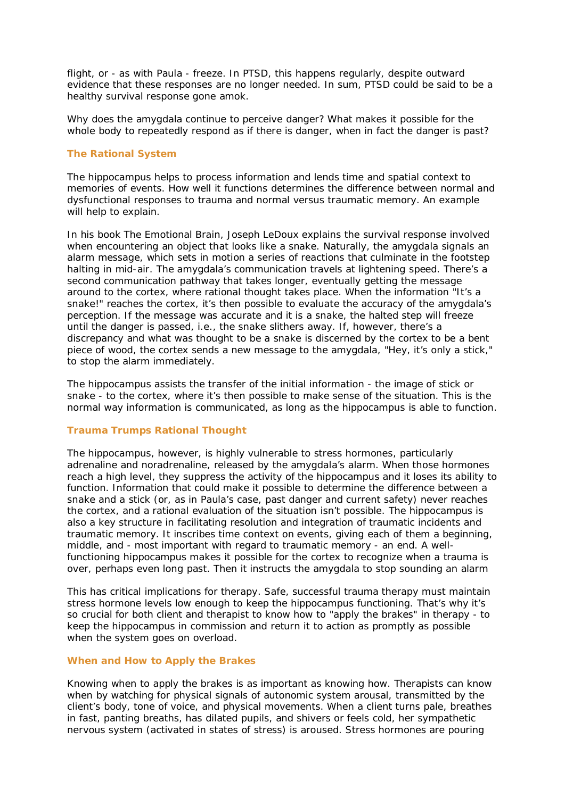flight, or - as with Paula - freeze. In PTSD, this happens regularly, despite outward evidence that these responses are no longer needed. In sum, PTSD could be said to be a healthy survival response gone amok.

Why does the amygdala continue to perceive danger? What makes it possible for the whole body to repeatedly respond as if there is danger, when in fact the danger is past?

# **The Rational System**

The hippocampus helps to process information and lends time and spatial context to memories of events. How well it functions determines the difference between normal and dysfunctional responses to trauma and normal versus traumatic memory. An example will help to explain.

In his book The Emotional Brain, Joseph LeDoux explains the survival response involved when encountering an object that looks like a snake. Naturally, the amygdala signals an alarm message, which sets in motion a series of reactions that culminate in the footstep halting in mid-air. The amygdala's communication travels at lightening speed. There's a second communication pathway that takes longer, eventually getting the message around to the cortex, where rational thought takes place. When the information "It's a snake!" reaches the cortex, it's then possible to evaluate the accuracy of the amygdala's perception. If the message was accurate and it is a snake, the halted step will freeze until the danger is passed, i.e., the snake slithers away. If, however, there's a discrepancy and what was thought to be a snake is discerned by the cortex to be a bent piece of wood, the cortex sends a new message to the amygdala, "Hey, it's only a stick," to stop the alarm immediately.

The hippocampus assists the transfer of the initial information - the image of stick or snake - to the cortex, where it's then possible to make sense of the situation. This is the normal way information is communicated, as long as the hippocampus is able to function.

## **Trauma Trumps Rational Thought**

The hippocampus, however, is highly vulnerable to stress hormones, particularly adrenaline and noradrenaline, released by the amygdala's alarm. When those hormones reach a high level, they suppress the activity of the hippocampus and it loses its ability to function. Information that could make it possible to determine the difference between a snake and a stick (or, as in Paula's case, past danger and current safety) never reaches the cortex, and a rational evaluation of the situation isn't possible. The hippocampus is also a key structure in facilitating resolution and integration of traumatic incidents and traumatic memory. It inscribes time context on events, giving each of them a beginning, middle, and - most important with regard to traumatic memory - an end. A wellfunctioning hippocampus makes it possible for the cortex to recognize when a trauma is over, perhaps even long past. Then it instructs the amygdala to stop sounding an alarm

This has critical implications for therapy. Safe, successful trauma therapy must maintain stress hormone levels low enough to keep the hippocampus functioning. That's why it's so crucial for both client and therapist to know how to "apply the brakes" in therapy - to keep the hippocampus in commission and return it to action as promptly as possible when the system goes on overload.

#### **When and How to Apply the Brakes**

Knowing when to apply the brakes is as important as knowing how. Therapists can know when by watching for physical signals of autonomic system arousal, transmitted by the client's body, tone of voice, and physical movements. When a client turns pale, breathes in fast, panting breaths, has dilated pupils, and shivers or feels cold, her sympathetic nervous system (activated in states of stress) is aroused. Stress hormones are pouring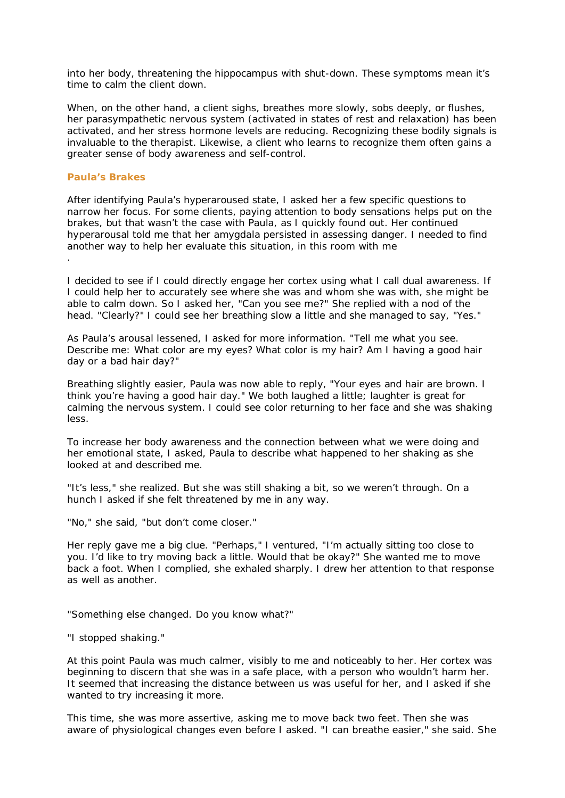into her body, threatening the hippocampus with shut-down. These symptoms mean it's time to calm the client down.

When, on the other hand, a client sighs, breathes more slowly, sobs deeply, or flushes, her parasympathetic nervous system (activated in states of rest and relaxation) has been activated, and her stress hormone levels are reducing. Recognizing these bodily signals is invaluable to the therapist. Likewise, a client who learns to recognize them often gains a greater sense of body awareness and self-control.

## **Paula's Brakes**

After identifying Paula's hyperaroused state, I asked her a few specific questions to narrow her focus. For some clients, paying attention to body sensations helps put on the brakes, but that wasn't the case with Paula, as I quickly found out. Her continued hyperarousal told me that her amygdala persisted in assessing danger. I needed to find another way to help her evaluate this situation, in this room with me .

I decided to see if I could directly engage her cortex using what I call dual awareness. If I could help her to accurately see where she was and whom she was with, she might be able to calm down. So I asked her, "Can you see me?" She replied with a nod of the head. "Clearly?" I could see her breathing slow a little and she managed to say, "Yes."

As Paula's arousal lessened, I asked for more information. "Tell me what you see. Describe me: What color are my eyes? What color is my hair? Am I having a good hair day or a bad hair day?"

Breathing slightly easier, Paula was now able to reply, "Your eyes and hair are brown. I think you're having a good hair day." We both laughed a little; laughter is great for calming the nervous system. I could see color returning to her face and she was shaking less.

To increase her body awareness and the connection between what we were doing and her emotional state, I asked, Paula to describe what happened to her shaking as she looked at and described me.

"It's less," she realized. But she was still shaking a bit, so we weren't through. On a hunch I asked if she felt threatened by me in any way.

"No," she said, "but don't come closer."

Her reply gave me a big clue. "Perhaps," I ventured, "I'm actually sitting too close to you. I'd like to try moving back a little. Would that be okay?" She wanted me to move back a foot. When I complied, she exhaled sharply. I drew her attention to that response as well as another.

"Something else changed. Do you know what?"

"I stopped shaking."

At this point Paula was much calmer, visibly to me and noticeably to her. Her cortex was beginning to discern that she was in a safe place, with a person who wouldn't harm her. It seemed that increasing the distance between us was useful for her, and I asked if she wanted to try increasing it more.

This time, she was more assertive, asking me to move back two feet. Then she was aware of physiological changes even before I asked. "I can breathe easier," she said. She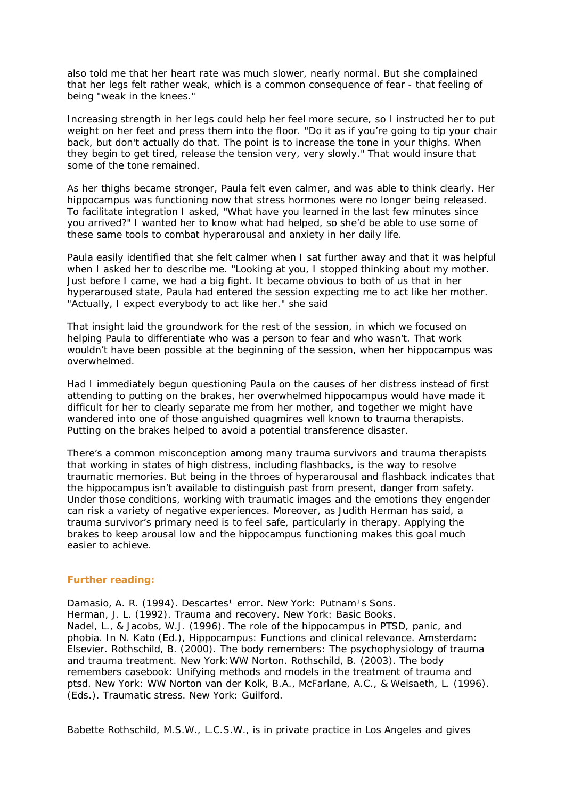also told me that her heart rate was much slower, nearly normal. But she complained that her legs felt rather weak, which is a common consequence of fear - that feeling of being "weak in the knees."

Increasing strength in her legs could help her feel more secure, so I instructed her to put weight on her feet and press them into the floor. "Do it as if you're going to tip your chair back, but don't actually do that. The point is to increase the tone in your thighs. When they begin to get tired, release the tension very, very slowly." That would insure that some of the tone remained.

As her thighs became stronger, Paula felt even calmer, and was able to think clearly. Her hippocampus was functioning now that stress hormones were no longer being released. To facilitate integration I asked, "What have you learned in the last few minutes since you arrived?" I wanted her to know what had helped, so she'd be able to use some of these same tools to combat hyperarousal and anxiety in her daily life.

Paula easily identified that she felt calmer when I sat further away and that it was helpful when I asked her to describe me. "Looking at you, I stopped thinking about my mother. Just before I came, we had a big fight. It became obvious to both of us that in her hyperaroused state, Paula had entered the session expecting me to act like her mother. "Actually, I expect everybody to act like her." she said

That insight laid the groundwork for the rest of the session, in which we focused on helping Paula to differentiate who was a person to fear and who wasn't. That work wouldn't have been possible at the beginning of the session, when her hippocampus was overwhelmed.

Had I immediately begun questioning Paula on the causes of her distress instead of first attending to putting on the brakes, her overwhelmed hippocampus would have made it difficult for her to clearly separate me from her mother, and together we might have wandered into one of those anguished quagmires well known to trauma therapists. Putting on the brakes helped to avoid a potential transference disaster.

There's a common misconception among many trauma survivors and trauma therapists that working in states of high distress, including flashbacks, is the way to resolve traumatic memories. But being in the throes of hyperarousal and flashback indicates that the hippocampus isn't available to distinguish past from present, danger from safety. Under those conditions, working with traumatic images and the emotions they engender can risk a variety of negative experiences. Moreover, as Judith Herman has said, a trauma survivor's primary need is to feel safe, particularly in therapy. Applying the brakes to keep arousal low and the hippocampus functioning makes this goal much easier to achieve.

#### **Further reading:**

Damasio, A. R. (1994). Descartes<sup>1</sup> error. New York: Putnam<sup>1</sup>s Sons. Herman, J. L. (1992). Trauma and recovery. New York: Basic Books. Nadel, L., & Jacobs, W.J. (1996). The role of the hippocampus in PTSD, panic, and phobia. In N. Kato (Ed.), Hippocampus: Functions and clinical relevance. Amsterdam: Elsevier. Rothschild, B. (2000). The body remembers: The psychophysiology of trauma and trauma treatment. New York:WW Norton. Rothschild, B. (2003). The body remembers casebook: Unifying methods and models in the treatment of trauma and ptsd. New York: WW Norton van der Kolk, B.A., McFarlane, A.C., & Weisaeth, L. (1996). (Eds.). Traumatic stress. New York: Guilford.

Babette Rothschild, M.S.W., L.C.S.W., is in private practice in Los Angeles and gives